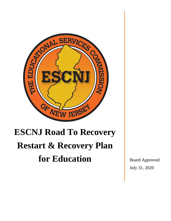

# **ESCNJ Road To Recovery Restart & Recovery Plan for Education** Board Approved

July 31, 2020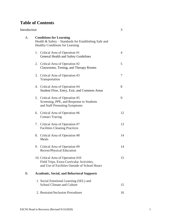# **Table of Contents**

| Introduction |                                                                                                                                   | 3  |
|--------------|-----------------------------------------------------------------------------------------------------------------------------------|----|
| A.           | <b>Conditions for Learning</b><br>Health & Safety - Standards for Establishing Safe and<br><b>Healthy Conditions for Learning</b> |    |
|              | 1. Critical Area of Operation #1<br><b>General Health and Safety Guidelines</b>                                                   | 4  |
|              | 2. Critical Area of Operation #2<br>Classrooms, Testing, and Therapy Rooms                                                        | 5  |
|              | 3. Critical Area of Operation #3<br>Transportation                                                                                | 7  |
|              | 4. Critical Area of Operation #4<br>Student Flow, Entry, Exit, and Common Areas                                                   | 8  |
|              | 5. Critical Area of Operation #5<br>Screening, PPE, and Response to Students<br>and Staff Presenting Symptoms                     | 9  |
|              | 6. Critical Area of Operation #6<br><b>Contact Tracing</b>                                                                        | 12 |
|              | 7. Critical Area of Operation #7<br><b>Facilities Cleaning Practices</b>                                                          | 13 |
|              | 8. Critical Area of Operation #8<br>Meals                                                                                         | 14 |
|              | 9. Critical Area of Operation #9<br>Recess/Physical Education                                                                     | 14 |
|              | 10. Critical Area of Operation #10<br>Field Trips, Extra-Curricular Activities,<br>and Use of Facilities Outside of School Hours  | 15 |
| <b>B.</b>    | <b>Academic, Social, and Behavioral Supports</b>                                                                                  |    |
|              | 1. Social Emotional Learning (SEL) and<br><b>School Climate and Culture</b>                                                       | 15 |
|              | 2. Restraint/Seclusion Procedures                                                                                                 | 16 |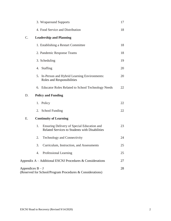| 3. Wraparound Supports                                                                             | 17 |
|----------------------------------------------------------------------------------------------------|----|
| 4. Food Service and Distribution                                                                   | 18 |
| C.<br><b>Leadership and Planning</b>                                                               |    |
| 1. Establishing a Restart Committee                                                                | 18 |
| 2. Pandemic Response Teams                                                                         | 18 |
| 3. Scheduling                                                                                      | 19 |
| 4. Staffing                                                                                        | 20 |
| 5. In-Person and Hybrid Learning Environments:<br>Roles and Responsibilities                       | 20 |
| 6. Educator Roles Related to School Technology Needs                                               | 22 |
| <b>Policy and Funding</b><br>D.                                                                    |    |
| 1. Policy                                                                                          | 22 |
| 2. School Funding                                                                                  | 22 |
| <b>Continuity of Learning</b><br>Ε.                                                                |    |
| Ensuring Delivery of Special Education and<br>1.<br>Related Services to Students with Disabilities | 23 |
| <b>Technology and Connectivity</b><br>2.                                                           | 24 |
| Curriculum, Instruction, and Assessments<br>3.                                                     | 25 |
| 4.<br>Professional Learning                                                                        | 25 |
| Appendix $A - Additional ESCNI$ Procedures & Considerations                                        | 27 |
| Appendices $B - J$<br>(Reserved for School/Program Procedures & Considerations)                    | 28 |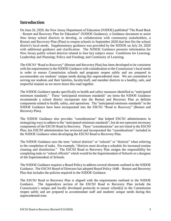# **Introduction**

On June 26, 2020, the New Jersey Department of Education (NJDOE) published "The Road Back – Restart and Recovery Plan for Education" (NJDOE Guidance), a Guidance document to assist New Jersey school districts to develop, in collaboration with community stakeholders, a Restart and Recovery Plan (Plan) to reopen schools in September 2020 that best fits the school district's local needs. Supplementary guidance was provided by the NJDOE on July 24, 2020 with additional guidance and clarification. The NJDOE Guidance presents information for New Jersey public school districts related to four key subject areas: Conditions for Learning; Leadership and Planning; Policy and Funding; and Continuity of Learning.

The ESCNJ "Road to Recovery" (Restart and Recovery Plan) has been developed to be consistent with the requirements in the NJDOE Guidance with consideration to the Commission's local needs in order to ensure Commission schools and programs reopen safely and are prepared to accommodate our students' unique needs during this unprecedented time. We are committed to serving our students and their families, faculty/staff, and member districts in a healthy, safe, and respectful manner as we move down this road together.

The NJDOE Guidance speaks specifically to health and safety measures identified as "anticipated minimum standards." These "anticipated minimum standards" are items the NJDOE Guidance recommends a school district incorporate into the Restart and Recovery Plan as definite components related to health, safety, and operations. The "anticipated minimum standards" in the NJDOE Guidance have been incorporated into the ESCNJ "Road to Recovery" (Restart and Recovery Plan).

The NJDOE Guidance also provides "considerations" that helped ESCNJ administrators in strategizing ways to adhere to the "anticipated minimum standards", but do not represent necessary components of the ESCNJ Road to Recovery. These "considerations" are not listed in the ESCNJ Plan, but ESCNJ administration has reviewed and incorporated the "considerations" included in the NJDOE Guidance when developing the ESCNJ Road to Recovery Plan.

The NJDOE Guidance uses the term "school districts" or "schools" or "districts" when referring to the completion of tasks. For example, "districts must develop a schedule for increased routine cleaning and disinfection." The ESCNJ Road to Recovery Plan assigns the responsibility for completing tasks to "school officials" which would be the Superintendent of Schools or a designee of the Superintendent of Schools.

The NJDOE Guidance requires a Board Policy to address several elements outlined in the NJDOE Guidance. The ESCNJ Board of Directors has adopted Board Policy 1648 – Restart and Recovery Plan that includes the policies required in the NJDOE Guidance.

The ESCNJ Road to Recovery Plan is aligned with the requirements outlined in the NJDOE Guidance. The Appendices section of the ESCNJ Road to Recovery Plan include the Commission's unique and locally developed protocols to ensure school(s) in the Commission reopen safely and are prepared to accommodate staff and students' unique needs during this unprecedented time.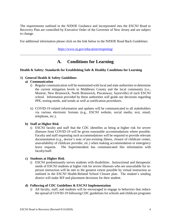The requirements outlined in the NJDOE Guidance and incorporated into the ESCNJ Road to Recovery Plan are controlled by Executive Order of the Governor of New Jersey and are subject to change.

For additional information please click on the link below to the NJDOE Road Back Guidelines:

<https://www.nj.gov/education/reopening/>

# **A. Conditions for Learning**

#### **Health & Safety: Standards for Establishing Safe & Healthy Conditions for Learning**

#### **1) General Health & Safety Guidelines**

#### **a) Communication**

- i) Regular communication will be maintained with local and state authorities to determine the current mitigation levels in Middlesex County and the local community (i.e., Monroe, New Brunswick, North Brunswick, Piscataway, Sayreville) of each ESCNJ school. Information provided by these authorities will guide our decisions regarding PPE, testing needs, and trends as well as notification procedures.
- ii) COVID-19 related information and updates will be communicated to all stakeholders via various electronic formats (e.g., ESCNJ website, social media, text, email, telephone, etc.).

#### **b) Staff at Higher Risk**

i) ESCNJ faculty and staff that the CDC identifies as being at higher risk for severe illnesses from COVID-19 will be given reasonable accommodations where possible. Faculty and staff requesting such accommodations will be required to provide relevant documentation (e.g., doctor's note of pre-existing illness, closure of childcare center, unavailability of childcare provider, etc.) when making accommodation or emergency leave requests. The Superintendent has communicated this information with faculty/staff.

#### **c) Students at Higher Risk**

i) ESCNJ predominantly serves students with disabilities. Instructional and therapeutic needs of ESCNJ students at higher risk for severe illnesses who are unavailable for inperson instruction will be met to the greatest extent possible by virtual instruction as outlined in the ESCNJ Health-Related School Closure plan. The student's sending district will make IEP and placement decisions for their student.

#### **d) Following of CDC Guidelines & ESCNJ Implementation**

i) All faculty, staff, and students will be encouraged to engage in behaviors that reduce the spread of COVID-19 following CDC guidelines for schools and childcare programs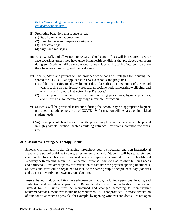[\(https://www.cdc.gov/coronavirus/2019-ncov/community/schools](https://www.cdc.gov/coronavirus/2019-ncov/community/schools-childcare/schools.html)[childcare/schools.html\)](https://www.cdc.gov/coronavirus/2019-ncov/community/schools-childcare/schools.html).

- ii) Promoting behaviors that reduce spread:
	- (1) Stay home when appropriate
	- (2) Hand hygiene and respiratory etiquette
	- (3) Face coverings
	- (4) Signs and messages
- iii) Faculty, staff, and all visitors to ESCNJ schools and offices will be required to wear face coverings unless they have underlying health conditions that precludes them from doing so. Students will be encouraged to wear facemasks, taking into consideration their behavioral, sensory, and medical needs.
- iv) Faculty, Staff, and parents will be provided workshops on strategies for reducing the spread of COVID-19 as applicable to ESCNJ schools and programs.
	- (1) Additional professional development days for staff at the beginning of the school year focusing on health/safety procedures, social emotional learning/wellbeing, and refresher on "Remote Instruction Best Practices."
	- (2) Virtual parent presentations to discuss reopening procedures, hygiene practices, and "How Tos" for technology usage in remote instruction.
- v) Students will be provided instruction during the school day on appropriate hygiene practices that reduce the spread of COVID-19. Instruction will be based on individual student needs.
- vi) Signs that promote hand hygiene and the proper way to wear face masks will be posted in highly visible locations such as building entrances, restrooms, common use areas, etc.

#### **2) Classrooms, Testing, & Therapy Rooms**

Schools will maintain social distancing throughout both instructional and non-instructional areas of the school building to the greatest extent practical. Students will be seated six feet apart, with physical barriers between desks when spacing is limited. Each School-based Recovery & Reopening Team (i.e., Pandemic Response Team) will assess their building needs and ability to utilize other spaces for instruction to facilitate the physical spacing of students. Students and staff will be organized to include the same group of people each day (cohorts) and do not allow mixing between groups/cohorts.

Ensure that our indoor facilities have adequate ventilation, including operational heating, and ventilation systems where appropriate. Recirculated air must have a fresh air component. Filter(s) for A/C units must be maintained and changed according to manufacturer recommendations. Windows should be opened when A/C is not provided. Increase circulation of outdoor air as much as possible, for example, by opening windows and doors. Do not open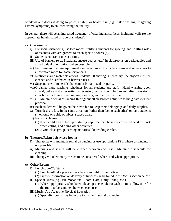windows and doors if doing so poses a safety or health risk (e.g., risk of falling, triggering asthma symptoms) to children using the facility.

In general, there will be an increased frequency of cleaning all surfaces, including walls (to the appropriate height based on age of students).

## a) **Classrooms**

- i) For social distancing, use two rooms, splitting students for spacing, and splitting roles of teachers with assignment to teach specific course(s).
- ii) Students enter/exit one at a time.
- iii) Use of barriers (e.g., Plexiglas, sneeze guards, etc.) in classrooms on desks/tables and at individual play stations when possible.
- iv) Furniture and certain equipment can be removed from classrooms and other areas to allow more room for social distancing.
- v) Restrict shared materials among students. If sharing is necessary, the objects must be cleaned and disinfected in-between uses.
- vi) Suspend use of materials that cannot be sanitized properly.
- vii)Organize hand washing schedules for all students and staff. Hand washing upon arrival, before and after eating, after using the bathroom, before and after transitions, after blowing their nose/coughing/sneezing, and before dismissal.
- viii) Maintain social distancing throughout all classroom activities to the greatest extent practical.
- ix) Each student will be given their own bin to keep their belongings and daily supplies.
- x) Turn desks to face in the same direction (rather than facing each other) or have students sit on only one side of tables, spaced apart.
- xi) For PSD classes:
	- (1) Keep children six feet apart during nap time (can have cots oriented head to foot), when eating, and doing other activities.
	- (2) Avoid close group learning activities like reading circles.

#### b) **Therapy/Related Services Rooms**

- i) Therapists will maintain social distancing or use appropriate PPE where distancing is not possible.
- ii) Materials and spaces will be cleaned between each use. Maintain a schedule for cleaning.
- iii) Therapy via teletherapy means to be considered where and when appropriate.

# **c) Other Rooms**

- i) Lunchroom/Cafeteria
	- (1) Lunch will take place in the classroom until further notice.
	- (2) Further information on delivery of lunches can be found in the *Meals* section below.
- ii) Special Areas (e.g., Pre-Vocational Room, Cafe, Daily Living, etc.)
	- (1) Where appropriate, schools will develop a schedule for each room to allow time for the room to be sanitized between each use.
- iii) Music, Art, Adaptive Physical Education
	- (1) Specialty rooms may be in use to maintain social distancing.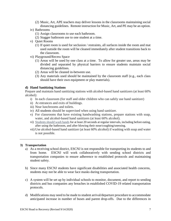- (2) Music, Art, APE teachers may deliver lessons in the classrooms maintaining social distancing guidelines. Remote instruction for Music, Art, and PE may be an option.
- iv) Bathrooms
	- (1) Assign classrooms to use each bathroom.
	- (2) Stagger bathroom use to one student at a time.
- v) Quiet Rooms
	- (1) If quiet room is used for seclusion / restraints, all surfaces inside the room and mat used outside the room will be cleaned immediately after student transitions back to the classroom.
- vi) Playground/Recess Space
	- (1) Areas will be used by one class at a time. To allow for greater use, areas may be divided and separated by physical barriers to ensure students maintain social distancing guidelines.
	- (2) Areas will be cleaned in-between use.
	- (3) Any materials used should be maintained by the classroom staff (e.g., each class should have their own equipment or play materials).

#### **d) Hand Sanitizing Stations**

Prepare and maintain hand sanitizing stations with alcohol-based hand sanitizers (at least 60% alcohol):

- i) In each classroom (for staff and older children who can safely use hand sanitizer)
- ii) At entrances and exits of buildings.
- iii) Near lunchrooms and toilets.
- iv) All students should be supervised when using hand sanitizer.
- v) For classrooms that have existing handwashing stations, prepare stations with soap, water, and alcohol-based hand sanitizers (at least 60% alcohol).
- vi) [Students should wash hands](https://www.cdc.gov/handwashing/when-how-handwashing.html) for at least 20 seconds at regular intervals, including before eating, after using the bathroom, and after blowing their nose/coughing/sneezing.
- vii) Use alcohol-based hand sanitizer (at least 60% alcohol) if washing with soap and water is not possible.

#### **3) Transportation**

- a) As a receiving school district, ESCNJ is not responsible for transporting its students to and from home. ESCNJ will work collaboratively with sending school districts and transportation companies to ensure adherence to established protocols and maintaining student safety.
- b) Since many ESCNJ students have significant disabilities and associated health concerns, students may not be able to wear face masks during transportation.
- c) A system will be set up by individual schools to monitor, document, and report to sending districts and bus companies any breaches in established COVID-19 related transportation protocols.
- d) Modifications may need to be made to student arrival/departure procedure to accommodate anticipated increase in number of buses and parent drop-offs. Due to the differences in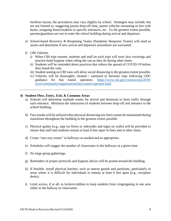facilities layout, the procedures may vary slightly by school. Strategies may include, but are not limited to, staggering parent drop-off time, parent vehicles remaining in line with buses, assigning buses/students to specific entrances, etc. To the greatest extent possible, parents/guardians are not to enter the school building during arrival and departure.

- e) School-based Recovery & Reopening Teams (Pandemic Response Teams) will need to assess and determine if new arrival and departure procedures are warranted.
- f) CBI Vehicles
	- i) When CBI trips resume, students and staff on such trips will wear face coverings and practice hand hygiene when riding the van as they do during other times.
	- ii) Students will be reminded about practices that reduce the spread of COVID-19 before they board the vans.
	- iii) Student seating on CBI vans will allow social distancing to the greatest extent possible.
	- iv) Vehicles will be thoroughly cleaned / sanitized in between trips following CDC guidance for bus transit operators. [https://www.cdc.gov/coronavirus/2019](https://www.cdc.gov/coronavirus/2019-ncov/community/organizations/bus-transit-operator.html) [ncov/community/organizations/bus-transit-operator.html](https://www.cdc.gov/coronavirus/2019-ncov/community/organizations/bus-transit-operator.html)

#### **4) Student Flow, Entry, Exit, & Common Areas**

- a) Schools will determine multiple routes for arrival and dismissal to limit traffic through each entrance. Minimize the interaction of students between drop-off and entrance to the school building.
- b) Face masks will be utilized when physical distancing (six feet) cannot be maintained during transitions throughout the building to the greatest extent possible.
- c) Physical guides (e.g., tape on floors or sidewalks and signs on walls) will be provided to ensure that staff and students remain at least 6 feet apart in lines and at other times.
- d) Create "one-way routes" in hallways as needed and as appropriate.
- e) Schedules will stagger the number of classrooms in the hallways at a given time.
- f) No large group gatherings.
- g) Reminders of proper protocols and hygiene advice will be posted around the building.
- h) If feasible, install physical barriers, such as sneeze guards and partitions, particularly in areas where it is difficult for individuals to remain at least 6 feet apart (e.g., reception desks).
- i) Limit access, if at all, to lockers/cubbies to keep students from congregating in one area either in the hallway or classrooms.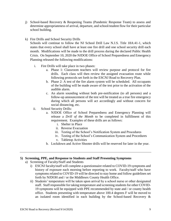- j) School-based Recovery & Reopening Teams (Pandemic Response Team) to assess and determine appropriateness of arrival, departure, and school/student flow for their particular school building.
- k) Fire Drills and School Security Drills

Schools will continue to follow the NJ School Drill Law N.J.S. Title 18A:41-1, which states that every school shall have at least one fire drill and one school security drill each month. Modifications will be made to the drill process during the declared Public Health Crisis. On September 10, 2020 the NJDOE Office of School Preparedness and Emergency Planning released the following modifications:

- i. Fire Drills will take place in two phases:
	- a. Phase 1: Classroom teachers will review purpose and protocol for fire drills. Each class will then review the assigned evacuation route while following protocols set forth in the ESCNJ Road to Recovery Plan.
	- b. Phase 2: A test of the fire alarm system will be scheduled. All occupants of the building will be made aware of the test prior to the activation of the audible alarm.
	- c. An alarm sounding without both pre-notification (to all persons) and a follow-up announcement of the test will be treated as a true fire emergency during which all persons will act accordingly and without concern for social distancing, etc.
- ii. School Security Drills:
	- a. NJDOE Office of School Preparedness and Emergency Planning will release a *Drill of the Month* to be completed in fulfillment of this requirement. Examples of these drills are as follows:
		- i. Shelter in Place
		- ii. Reverse Evacuation
		- iii. Testing of the School's Notification System and Procedures
		- iv. Testing of the School's Communication System and Procedures
		- v. Tabletop Activities
	- b. Lockdown and Active Shooter drills will be reserved for later in the year.

#### **5) Screening, PPE, and Response to Students and Staff Presenting Symptoms**

- a) Screening of Faculty/Staff and Students
	- i) ESCNJ faculty/staff will complete a questionnaire related to COVID-19 symptoms and history of exposure each morning before reporting to work. Faculty/staff who have symptoms related to COVID-19 will be directed to stay home and follow guidelines set forth by NJDOH and / or the Middlesex County Health Office.
	- ii) Students' temperature will be taken upon arrival by a school nurse or other designated staff. Staff responsible for taking temperature and screening students for other COVID-19 symptoms will be equipped with PPE recommended by state and / or county health office. Students presenting with temperature above 100.4 degrees F will be moved to an isolated room identified in each building by the School-based Recovery &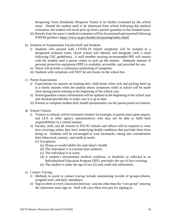Reopening Team (Pandemic Response Team) to be further evaluated by the school nurse. Should the student need to be dismissed from school following this medical evaluation, the student will await pick-up from a parent/ guardian in this isolated room.

- iii) Results from the nurse's medical evaluation will be documented and reported following NJDOH guidance <https://www.nj.gov/health/cd/reporting/index.shtml>
- b) Isolation of Symptomatic Faculty/Staff and Students
	- i) Students who present with COVID-19 related symptoms will be isolated in a designated isolation room. (Each school will identify and designate such a room following CDC guidelines). A staff member wearing recommended PPE will remain with the student until a parent comes to pick up the student. Adequate amount of personal protective equipment (PPE) is available, accessible, and provided for use.
	- ii) Nurse will provide a continuous monitoring of symptoms.
	- iii) Students with symptoms will NOT be sent home on the school bus.
- c) Parent Expectations
	- i) Expectations for parents on keeping their child home when sick and picking them up in a timely manner when the student shows symptoms while at school will be made clear during parent training at the beginning of the school year.
	- ii) Parent/guardian contact information will be updated at the beginning of the school year and checked periodically to make sure it is up to date.
	- iii) Parents to complete student daily health questionnaire via the parent portal on Genesis.
- d) School Visitors
	- i) Visitors to schools will be extremely limited, for example, to parent tours upon request, and LEA or other agency representatives who may not be able to fulfil their responsibilities in a virtual manner.
	- ii) Faculty, staff, and all visitors to ESCNJ schools and offices will be required to wear face coverings unless they have underlying health conditions that preclude them from doing so. Students will be encouraged to wear facemasks, taking into consideration their behavioral, sensory, and medical needs.
		- (1) Exceptions:
			- (a) Doing so would inhibit the individual's health.
			- (b) The individual is in extreme heat outdoors.
			- (c) The individual is in water.
			- (d) A student's documented medical condition, or disability as reflected in an Individualized Education Program (IEP), precludes the use of face covering.
			- (e) The student is under the age of two (2) and could risk suffocation.
- e) Contact Tracing
	- i) Methods to assist in contact tracing include maintaining records of groups/cohorts, assigned staff, and daily attendance.
	- ii) Sign-in sheet at every classroom doorway anyone other than the "core group" entering the classroom must sign-in. Staff will carry their own pen for signing in.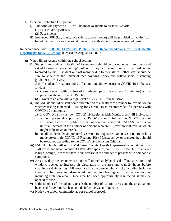- f) Personal Protective Equipment (PPE)
	- i) The following types of PPE will be made available to all faculty/staff: (1) Face coverings/masks
		- (2) Face shields
	- ii) Enhanced PPE (i.e., mask, face shield, gloves, gown) will be provided to faculty/staff based on their role and personal interaction with students on an as needed basis.

In accordance with [NJDOH COVID-19 Public Health Recommendations for Local Health](https://www.state.nj.us/health/cd/documents/topics/NCOV/RecommendationsForLocalHealthDepts_K12Schools.pdf)  [Departments for K-12 Schools](https://www.state.nj.us/health/cd/documents/topics/NCOV/RecommendationsForLocalHealthDepts_K12Schools.pdf) released on August 13, 2020:

- g) When illness occurs within the school setting
	- i) Students and staff with COVID-19 symptoms should be placed away from others and asked to wear a face covering/mask until they can be sent home. If a mask is not tolerated by the ill student or staff member due to their illness, other staff should be sure to adhere to the universal face covering policy and follow social distancing guidelines (6 ft. away).

Ask ill student (or parent) and staff about potential exposure to COVID-19 in the past 14 days:

- a) Close contact (within 6 feet of an infected person for at least 10 minutes) with a person with confirmed COVID-19
- b) Travel to an area with a high level of COVID-19 transmission
- ii) Individuals should be sent home and referred to a healthcare provider for evaluation on whether testing is needed. Testing for COVID-19 is recommended for persons with COVID-19 symptoms.
	- a) If COVID-19 risk is low (COVID-19 Regional Risk Matrix green), ill individuals without potential exposure to COVID-19 should follow the NJDOH School Exclusion List. No public health notification is needed UNLESS there is an unusual increase in the number of persons who are ill (over normal levels), which might indicate an outbreak.
	- b) If ill students have potential COVID-19 exposure OR if COVID-19 risk is moderate or high (COVID-19 Regional Risk Matrix, yellow or orange), they should be excluded according to the COVID-19 Exclusion Criteria.
- iii) ESCNJ schools will notify Middlesex County Health Department when students or staff are ill and have potential COVID-19 exposure, are ill when COVID-19 risk level is high (orange), or when there is an increase in the number of persons with compatible symptoms.
- iv) Areas used by the person who is sick will immediately be closed off, outside doors and windows opened to increase air circulation in the area and wait 24 hours before cleaning or disinfecting. All areas used by the person who is sick, including isolation area, will be clean and disinfected outlined in cleaning and disinfection section, including isolation area. Once area has been appropriately disinfected, it may be opened for use.
- v) If the number of ill students exceeds the number of isolation areas and the areas cannot be closed for 24 hours, clean and disinfect between ill persons.
- vi) Notify the school community as per school protocol: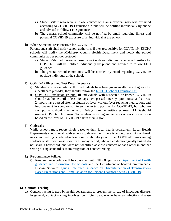- a) Students/staff who were in close contact with an individual who was excluded according to COVID-19 Exclusion Criteria will be notified individually by phone and advised to follow LHD guidance.
- b) The general school community will be notified by email regarding illness and potential COVID-19 exposure of an individual at the school.
- h) When Someone Tests Positive for COVID-19

Parents and staff shall notify school authorities if they test positive for COVID-19. ESCNJ schools will notify the Middlesex County Health Department and notify the school community as per school protocol.

- a) Students/staff who were in close contact with an individual who tested positive for COVID-19 will be notified individually by phone and advised to follow LHD guidance.
- b) The general school community will be notified by email regarding COVID-19 positive individual at the school.
- i) COVID-19 Illness and Test Result Scenarios
	- i) Standard exclusion criteria: If ill individuals have been given an alternate diagnosis by a healthcare provider, they should follow the [NJDOH School Exclusion List.](https://www.nj.gov/health/cd/documents/topics/outbreaks/School%20Exclusion%20List_9.2018.pdf)
	- ii) COVID-19 exclusion criteria: Ill individuals with suspected or known COVID-19 should stay home until at least 10 days have passed since symptom onset and at least 24 hours have passed after resolution of fever without fever reducing medications and improvement in symptoms. Persons who test positive for COVID-19, but who are asymptomatic should stay home for 10 days from the positive test result. LHDs should use the COVID-19 Exclusion Table when providing guidance for schools on exclusion based on the level of COVID-19 risk in their region.
- j) Outbreaks

While schools must report single cases to their local health department, Local Health Departments should work with schools to determine if there is an outbreak. An outbreak in a school setting is defined as two or more laboratory-confirmed COVID-19 cases among students or staff with onsets within a 14-day period, who are epidemiologically linked, do not share a household, and were not identified as close contacts of each other in another setting during standard case investigation or contact tracing.

- k) Re-admittance Policies
	- i) Re-admittance policy will be consistent with NJDOH guidance [Department of Health](https://www.state.nj.us/health/cd/topics/covid2019_schools.shtml)  [guidance and information for schools](https://www.state.nj.us/health/cd/topics/covid2019_schools.shtml) and the Department of health/Communicable Disease Service's [Quick Reference Guidance on Discontinuation of Transmission-](https://www.nj.gov/health/cd/documents/topics/NCOV/COVID-QuickRef_Discont_Isolation_and_TBP.pdf)[Based Precautions and Home Isolation for Persons Diagnosed with COVID-19.](https://www.nj.gov/health/cd/documents/topics/NCOV/COVID-QuickRef_Discont_Isolation_and_TBP.pdf)

# **6) Contact Tracing**

a) Contact tracing is used by health departments to prevent the spread of infectious disease. In general, contact tracing involves identifying people who have an infectious disease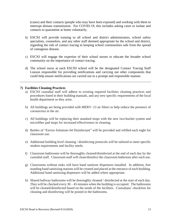(cases) and their contacts (people who may have been exposed) and working with them to interrupt disease transmission. For COVID-19, this includes asking cases to isolate and contacts to quarantine at home voluntarily.

- b) ESCNJ will provide training to all school and district administrators, school safety specialists, counselors, and any other staff deemed appropriate by the school and district, regarding the role of contact tracing in keeping school communities safe from the spread of contagious disease.
- c) ESCNJ will engage the expertise of their school nurses to educate the broader school community on the importance of contact tracing.
- d) The school nurse at each ESCNJ school will be the designated Contact Tracing Staff Liaison responsible for providing notifications and carrying out other components that could help ensure notifications are carried out in a prompt and responsible manner.

#### **7) Facilities Cleaning Practices**

- a) ESCNJ custodial staff will adhere to existing required facilities cleaning practices and procedures listed in their building manuals, and any new specific requirements of the local health department as they arise.
- b) All buildings are being provided with MERV–13 air filters to help reduce the presence of coronavirus in the air.
- c) All buildings will be replacing their standard mops with the new two-bucket system and microfiber pad mops for increased effectiveness in cleaning.
- d) Bottles of "Enviro Solutions 64 Disinfectant" will be provided and refilled each night for classroom use.
- e) Additional building level cleaning / disinfecting protocols will be tailored to meet specific student requirements and facility needs.
- f) Classroom bathrooms will be thoroughly cleaned/disinfected at the end of each day by the custodial staff. Classroom staff will clean/disinfect the classroom bathroom after each use.
- g) Classrooms without sinks will have hand sanitizer dispensers installed. In addition, free standing hand sanitizing stations will be created and placed at the entrance of each building. Additional hand sanitizing dispensers will be added where appropriate.
- h) Shared hallway bathrooms will be thoroughly cleaned / disinfected at the start of each day. They will be checked every  $30 - 45$  minutes when the building is occupied. The bathrooms will be cleaned/disinfected based on the needs of the facilities. Custodians' checklists for cleaning and disinfecting will be posted in the bathrooms.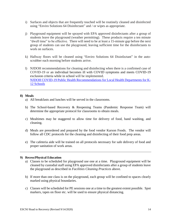- i) Surfaces and objects that are frequently touched will be routinely cleaned and disinfected using "Enviro Solutions 64 Disinfectant" and / or wipes as appropriate.
- j) Playground equipment will be sprayed with EPA approved disinfectants after a group of students leave the playground (weather permitting). These products require a ten minute "dwell time" to be effective. There will need to be at least a 15-minute gap before the next group of students can use the playground, leaving sufficient time for the disinfectants to work on surfaces.
- k) Hallway floors will be cleaned using "Enviro Solutions 64 Disinfectant" in the autoscrubber each morning before students arrive.
- l) NJDOH recommendations for cleaning and disinfecting when there is a confirmed case of COVID-19 or an individual becomes ill with COVID symptoms and meets COVID-19 exclusion criteria while in school will be implemented. [NJDOH COVID-19 Public Health Recommendations for Local Health Departments for K-](https://www.state.nj.us/health/cd/documents/topics/NCOV/RecommendationsForLocalHealthDepts_K12Schools.pdf)[12 Schools](https://www.state.nj.us/health/cd/documents/topics/NCOV/RecommendationsForLocalHealthDepts_K12Schools.pdf)

#### **8) Meals**

- a) All breakfasts and lunches will be served in the classrooms.
- b) The School-based Recovery & Reopening Teams (Pandemic Response Team) will determine the appropriate protocol for classrooms to obtain meals.
- c) Mealtimes may be staggered to allow time for delivery of food, hand washing, and cleaning.
- d) Meals are preordered and prepared by the food vendor Karson Foods. The vendor will follow all CDC protocols for the cleaning and disinfecting of their food prep areas.
- e) The cafeteria aide will be trained on all protocols necessary for safe delivery of food and proper sanitation of work areas.

#### **9) Recess/Physical Education**

- a) Classes to be scheduled for playground use one at a time. Playground equipment will be cleaned by custodial staff using EPA approved disinfectants after a group of students leave the playground as described in *Facilities Cleaning Practices* above.
- b) If more than one class is on the playground, each group will be confined to spaces clearly marked using physical boundaries.
- c) Classes will be scheduled for PE sessions one at a time to the greatest extent possible. Spot markers, tapes on floor etc. will be used to ensure physical distancing.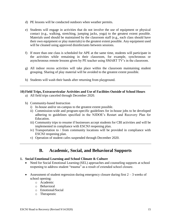- d) PE lessons will be conducted outdoors when weather permits.
- e) Students will engage in activities that do not involve the use of equipment or physical contact (e.g., walking, stretching, jumping jacks, yoga) to the greatest extent possible. Materials used should be maintained by the classroom staff (e.g., each class should have their own equipment or play materials) to the greatest extent possible. Any equipment used will be cleaned using approved disinfectants between sessions.
- f) If more than one class is scheduled for APE at the same time, students will participate in the activities while remaining in their classroom, for example, synchronous or asynchronous remote lessons given by PE teacher using SMART TV's in the classroom.
- g) All indoor recess activities will take place within the classroom maintaining student grouping. Sharing of play material will be avoided to the greatest extent possible.
- h) Students will wash their hands after returning from playground.

# **10) Field Trips, Extracurricular Activities and Use of Facilities Outside of School Hours**

- a) All field trips canceled through December 2020.
- b) Community-based Instruction
	- i) In-house and/or on-campus to the greatest extent possible.
	- ii) Commission-wide and program-specific guidelines for in-house jobs to be developed adhering to guidelines specified in the NJDOE's Restart and Recovery Plan for Education.
	- iii) Community trips to resume if businesses accept students for CBI activities and will be implemented in compliance with ESCNJ reopening plan.
	- iv) Transportation to / from community locations will be provided in compliance with ESCNJ reopening plan.
	- v) Operation of student cafes suspended through December 2020.

# **B. Academic, Social, and Behavioral Supports**

# **1. Social Emotional Learning and School Climate & Culture**

- Need for Social Emotional Learning (SEL) approaches and counseling supports at school reopening to address student "trauma" as a result of extended school closure.
- Assessment of student regression during emergency closure during first  $2 3$  weeks of school opening:
	- o Academic
	- o Behavioral
	- o Emotional/Social
	- o Therapeutic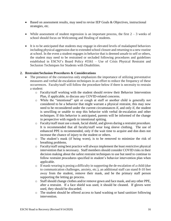- Based on assessment results, may need to revise IEP Goals & Objectives, instructional strategies, etc.
- While assessment of student regression is an important process, the first  $2 3$  weeks of school should focus on Welcoming and Healing of students.
- It is to be anticipated that students may engage in elevated levels of maladapted behaviors including physical aggression due to extended school closure and returning to a new routine at school. In the event a student engages in behavior that is deemed unsafe to self or others, the student may need to be restrained or secluded following procedures and guidelines established in ESCNJ's Board Policy #5561 – Use of Crisis Physical Restraint and Seclusion Techniques for Students with Disabilities.

#### **2. Restraint/Seclusion Procedures & Considerations**

- The presence of the coronavirus only emphasizes the importance of utilizing preventative measures and verbal de-escalation techniques in an effort to reduce the frequency of these occurrences. Faculty/staff will follow the procedure below if there is necessity to restrain a student:
	- o Faculty/staff working with the student should review their Behavior Intervention Plan, if applicable, to discuss any COVID-related concerns.
	- o While the "intentional" spit or cough at staff or another child is generally not considered to be a behavior that might warrant a physical restraint, this may now need to be reconsidered under the current circumstances if, and only if, the student is unwilling or unable to stop this behavior with verbal de-escalation and other techniques. If this behavior is anticipated, parents will be informed of the change in perspective with regards to intentional spitting.
	- o Faculty/staff must use a mask, facial shield, and gloves during a restraint procedure. It is recommended that all faculty/staff wear long sleeve clothing. The use of enhanced PPE is recommended, only if the wait time to acquire and don does not increase the chance of injury to the student or others.
	- o The student's mask (if being worn), is to be removed to minimize the risk of breathing problems.
	- o Faculty/staff using best practice will always implement the least restrictive physical intervention that is necessary. Staff members should consider COVID risks in their decision making about the safest restraint techniques to use but need to continue to follow restraint procedures specified in student's behavior intervention plan when applicable.
	- o If mask-wearing is posing a difficulty in supporting the de-escalation of a child (due to communication challenges, anxiety, etc.), an additional staff can stand 8-10 feet away from the student, remove their mask, and be the primary staff person supporting the letting go process.
	- o Staff should change clothes and/or remove gown and face mask, and any other PPE, after a restraint. If a face shield was used, it should be cleaned. If gloves were used, they should be discarded.
	- o The student should be offered access to hand washing or hand sanitizer following intervention.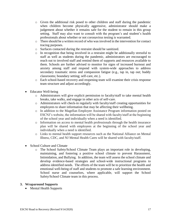- o Given the additional risk posed to other children and staff during the pandemic when children become physically aggressive, administrator should make a judgement about whether it remains safe for the student to remain in this group setting. Staff may also want to consult with the program's and student's health professionals about whether or not coronavirus testing is warranted.
- $\circ$  There should be a written record of who was involved in the intervention for contact tracing purposes.
- o Surfaces contacted during the restraint should be sanitized.
- o In recognition that being involved in a restraint might be additionally stressful to staff as well as students during the pandemic, administrators are encouraged to reach out to involved staff and remind them of supports and resources available to them. Schools are further advised to monitor for signs of increased burnout and anxiety among staff and respond with system-wide approaches to address secondary traumatic stress and compassion fatigue (e.g., tap in, tap out; buddy classrooms; boundary setting; self-care, etc.).
- o Each school-based recovery and reopening team will examine their crisis response team structure and adjust accordingly.
- Educator Well-being
	- o Administrators will give explicit permission to faculty/staff to take mental health breaks, take walks, and engage in other acts of self-care.
	- o Administrators will check-in regularly with faculty/staff creating opportunities for employees to share information that may be affecting their wellbeing.
	- o In addition to the Magellan Employee Assistance Program information posted on ESCNJ's website, the information will be shared with faculty/staff at the beginning of the school year and individually when a need is identified.
	- o Information on access to mental health professionals through the health insurance plan will be shared with employees at the beginning of the school year and individually when a need is identified.
	- o Links to mental health support resources such as the National Alliance on Mental Illness, CDC, and NJ Mental Health Cares will be shared with faculty/staff.
- School Culture and Climate
	- o The School Safety/School Climate Team plays an important role in developing, maintaining, and fostering a positive school climate to prevent Harassment, Intimidation, and Bullying. In addition, the team will assess the school climate and develop evidence-based strategies and school-wide instructional programs to address identified needs. The efforts of the team will be to prioritize the health and emotional well-being of staff and students to promote a safe learning environment. School nurse and counselors, where applicable, will support the School Safety/School Climate team in this process.

#### **3. Wraparound Supports**

• Mental Health Supports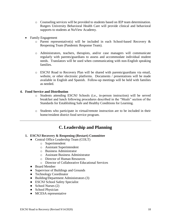- o Counseling services will be provided to students based on IEP team determination. Rutgers University Behavioral Health Care will provide clinical and behavioral supports to students at NuView Academy.
- Family Engagement
	- o Parent representative(s) will be included in each School-based Recovery & Reopening Team (Pandemic Response Team).
	- o Administrators, teachers, therapists, and/or case managers will communicate regularly with parents/guardians to assess and accommodate individual student needs. Translators will be used when communicating with non-English speaking families.
	- o ESCNJ Road to Recovery Plan will be shared with parents/guardians via email, website, or other electronic platforms. Documents / presentations will be made available in English and Spanish. Follow-up meetings will be held with families as needed.

#### **4. Food Service and Distribution**

- o Students attending ESCNJ Schools (i.e., in-person instruction) will be served breakfast and lunch following procedures described in the "Meals" section of the Standards for Establishing Safe and Healthy Conditions for Learning.
- o Students who participate in virtual/remote instruction are to be included in their home/resident district food service program.

# **C.Leadership and Planning**

#### **1. ESCNJ Recovery & Reopening (Restart) Committee**

- Central Office Leadership Team (COLT)
	- o Superintendent
	- o Assistant Superintendent
	- o Business Administrator
	- o Assistant Business Administrator
	- o Director of Human Resources
	- o Director of Collaborative Educational Services
- Board Member
- Supervisor of Buildings and Grounds
- Technology Coordinator
- Building/Department Administrators (3)
- ESCNJ School Safety Specialist
- School Nurses  $(2)$
- School Physician
- MCESA representative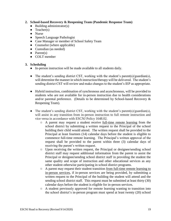## **2. School-based Recovery & Reopening Team (Pandemic Response Team)**

- $\bullet$  Building administrator(s)
- $\bullet$  Teacher(s)
- Nurse
- Speech Language Pathologist
- Case Manager or member of School Safety Team
- Counselor (where applicable)
- Custodian (as needed)
- $\bullet$  Parent(s)
- COLT member

#### **3. Scheduling**

- In-person instruction will be made available to all students daily.
- The student's sending district CST, working with the student's parent(s)/guardian(s), will determine the manner in which instruction/therapy will be delivered. The student's sending district CST will review and make changes to the student's IEP as appropriate.
- Hybrid instruction, combination of synchronous and asynchronous, will be provided to students who are not available for in-person instruction due to health considerations and/or parental preference. (Details to be determined by School-based Recovery & Reopening Team).
- The student's sending district CST, working with the student's parent(s)/guardian(s), will assist in any transition from in-person instruction to full remote instruction and vice versa in accordance with ESCNJ Policy 1648.02.
	- A parent may request a student receive full-time remote learning from the school district by submitting a written request to the Principal of the school building their child would attend. The written request shall be provided to the Principal at least fourteen (14) calendar days before the student is eligible to commence full-time remote learning. The Principal's written approval of the request shall be provided to the parent within three (3) calendar days of receiving the parent's written request.
	- Upon receiving the written request, the Principal or designee/sending school district staff may request additional information from the parent to assist the Principal or designee/sending school district staff in providing the student the same quality and scope of instruction and other educational services as any other student otherwise participating in school district programs.
	- A parent may request their student transition from full-time remote learning to in-person services, if in-person services are being provided, by submitting a written request to the Principal of the building the student will attend and the sending school district staff. This request must be submitted at least thirty (30) calendar days before the student is eligible for in-person services.
	- A student previously approved for remote learning wanting to transition into the school district's in-person program must spend at least twenty (20) school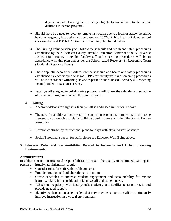days in remote learning before being eligible to transition into the school district's in-person program.

- Should there be a need to revert to remote instruction due to a local or statewide public health emergency, instruction will be based on ESCNJ Public Health-Related School Closure Plan and ESCNJ Continuity of Learning Plan found below.
- The Turning Point Academy will follow the schedule and health and safety procedures established by the Middlesex County Juvenile Detention Center and the NJ Juvenile Justice Commission. PPE for faculty/staff and screening procedures will be in accordance with this plan and as per the School-based Recovery & Reopening Team (Pandemic Response Team).
- The Nonpublic department will follow the schedule and health and safety procedures established by each nonpublic school. PPE for faculty/staff and screening procedures will be in accordance with this plan and as per the School-based Recovery & Reopening Team (Pandemic Response Team).
- Faculty/staff assigned to collaborative programs will follow the calendar and schedule of the school/program to which they are assigned.

#### 4. **Staffing**

- Accommodations for high risk faculty/staff is addressed in Section 1 above.
- The need for additional faculty/staff to support in-person and remote instruction to be assessed on an ongoing basis by building administrators and the Director of Human Resources.
- Develop contingency instructional plans for days with elevated staff absences.
- Social/Emotional support for staff, please see Educator Well-Being above.

#### **5. Educator Roles and Responsibilities Related to In-Person and Hybrid Learning Environments:**

#### **Administrators:**

In addition to non-instructional responsibilities, to ensure the quality of continued learning inperson or virtually, administrators should:

- Consider roles for staff with health concerns
- Provide time for staff collaboration and planning
- Create schedules to increase student engagement and accountability for remote learning, taking into consideration faculty/staff and student needs
- "Check-in" regularly with faculty/staff, students, and families to assess needs and provide needed support
- Identify teachers and teacher leaders that may provide support to staff to continuously improve instruction in a virtual environment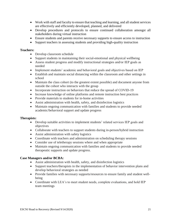- Work with staff and faculty to ensure that teaching and learning, and all student services are effectively and efficiently developed, planned, and delivered
- Develop procedures and protocols to ensure continued collaboration amongst all stakeholders during virtual instruction
- Ensure students and parents receive necessary supports to ensure access to instruction
- Support teachers in assessing students and providing high-quality instruction

#### **Teachers:**

- Develop classroom schedule
- Support students in maintaining their social-emotional and physical wellbeing
- Assess student progress and modify instructional strategies and/or IEP goals as needed
- Implement students' academic and behavioral goals and objectives based on IEP
- Establish and maintain social distancing within the classroom and other settings in school
- Maintain the class cohort (to the greatest extent possible) and document anyone from outside the cohort who interacts with the group
- Incorporate instruction on behaviors that reduce the spread of COVID-19
- Increase knowledge of online platforms and remote instruction best practices
- Provide materials to students for in-home activities
- Assist administration with health, safety, and disinfection logistics
- Maintain ongoing communication with families and students to provide needed academic/behavioral support and update progress

# **Therapists:**

- Develop suitable activities to implement students' related services IEP goals and objectives
- Collaborate with teachers to support students during in-person/hybrid instruction
- Assist administration with safety logistics
- Coordinate with teachers and administration on scheduling therapy sessions
- Consider use of teletherapy sessions where and when appropriate
- Maintain ongoing communication with families and students to provide needed therapeutic supports and update progress.

# **Case Managers and/or BCBA:**

- Assist administration with health, safety, and disinfection logistics
- Support teachers/therapists in the implementation of behavior intervention plans and develop behavioral strategies as needed
- Provide families with necessary supports/resources to ensure family and student wellbeing
- Coordinate with LEA's to meet student needs, complete evaluations, and hold IEP team meetings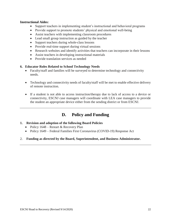#### **Instructional Aides:**

- Support teachers in implementing student's instructional and behavioral programs
- Provide support to promote students' physical and emotional well-being
- Assist teachers with implementing classroom procedures
- Lead small group instruction as guided by the teacher
- Support teachers during whole-class lessons
- Provide real-time support during virtual sessions
- Research websites and identify activities that teachers can incorporate in their lessons
- Assist teachers in developing instructional materials
- Provide translation services as needed

#### **6. Educator Roles Related to School Technology Needs**

- Faculty/staff and families will be surveyed to determine technology and connectivity needs.
- Technology and connectivity needs of faculty/staff will be met to enable effective delivery of remote instruction.
- If a student is not able to access instruction/therapy due to lack of access to a device or connectivity, ESCNJ case managers will coordinate with LEA case managers to provide the student an appropriate device either from the sending district or from ESCNJ.

# **D. Policy and Funding**

# **1. Revision and adoption of the following Board Policies**

- Policy 1648 Restart & Recovery Plan
- Policy 1649 Federal Families First Coronavirus (COVID-19) Response Act

#### 2. **Funding as directed by the Board, Superintendent, and Business Administrator.**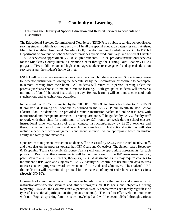# **E. Continuity of Learning**

# **1. Ensuring the Delivery of Special Education and Related Services to Students with Disabilities**

The Educational Services Commission of New Jersey (ESCNJ) is a public receiving school district serving students with disabilities ages  $3 - 21$  in all the special education categories (e.g., Autism, Multiple Disabilities, Emotional Disorders, OHI, Specific Learning Disabilities, etc.). The ESCNJ Department of Nonpublic School Services provides specialized, auxiliary, and remedial Chapter 192/193 services to approximately 2,500 eligible students. ESCNJ provides instructional services for the Middlesex County Juvenile Detention Center through the Turning Point Academy (TPA) program. TPA middle school and high school aged students receive general and special education services as per the student's home district.

ESCNJ will provide two learning options once the school buildings are open. Students may return to in-person instruction following the schedule set by the Commission or continue to participate in remote learning from their home. All students will return to in-person learning unless the parents/guardians choose to maintain remote learning. Both groups of students will receive a minimum of four (4) hours of instruction per day. Remote learning will continue to consist of both synchronous and asynchronous activities.

In the event that ESCNJ is directed by the NJDOE or NJDOH to close schools due to COVID-19 (Coronavirus), learning will continue as outlined in the ESCNJ Public Health-Related School Closure Plan. Students will be provided a remote instruction packet and online resources with instructional and therapeutic activities. Parents/guardians will be guided by ESCNJ faculty/staff to work with their child for a minimum of twenty (20) hours per week during school closure. Instructional time will consist of direct contact instruction/therapy by ESCNJ teachers and therapists in both synchronous and asynchronous methods. Instructional activities will also include independent work assignments and group activities, where appropriate based on student ability and family circumstances.

Upon return to in-person instruction, students will be assessed by ESCNJ certificated faculty, staff, and therapists on the progress toward their IEP Goals and Objectives. The School-based Recovery & Reopening Team (Pandemic Response Teams) will outline appropriate assessments for each program. Results of these assessments will be communicated to the IEP team members (i.e., parents/guardians, LEA's, teacher, therapists, etc.). Assessment results may require changes to the student's IEP Goals and Objectives. ESCNJ faculty will continue to use multiple data sources to assess student progress toward achievement of IEP Goals and Objectives. The student's LEA (home district) will determine the protocol for the make-up of any missed related service sessions (Speech/ OT/ PT).

Home/school communication will continue to be vital to ensure the quality and consistency of instructional/therapeutic services and student progress on IEP goals and objectives during reopening. As such, the Commission's expectation is daily contact with each family regardless of type of instructional participation (in-person or remote). The need to effectively communicate with non-English speaking families is acknowledged and will be accomplished through various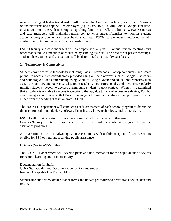means. Bi-lingual Instructional Aides will translate for Commission faculty as needed. Various online platforms and apps will be employed (e.g., Class Dojo, Talking Points, Google Translate, etc.) to communicate with non-English speaking families as well. Additionally, ESCNJ nurses and case managers will maintain regular contact with students/families to monitor student academic progress, behavioral issues, health status, etc. ESCNJ case managers and/or nurses will contact the LEA case manager on an as needed basis.

ESCNJ faculty and case managers will participate virtually in IEP annual review meetings and other mandated CST meetings as requested by sending districts. The need for in-person meetings, student observations, and evaluations will be determined on a case-by-case basis.

# **2. Technology & Connectivity**

Students have access to technology including iPads, Chromebooks, laptop computers, and smart phones to access instruction/therapy provided using online platforms such as Google Classroom and Schoology; Video conferencing using Zoom or Google Meet; and educational websites such as IXL, BrainPoP, and Newsela. Classroom teachers, paraprofessionals, and therapists regularly monitor students' access to devices during daily student / parent contact. When it is determined that a student is not able to access instruction / therapy due to lack of access to a device, ESCNJ case managers coordinate with LEA case managers to provide the student an appropriate device either from the sending district or from ESCNJ.

The ESCNJ IT department will conduct a needs assessment of each school/program to determine the need for additional devices, software licensing, assistive technology, and connectivity.

ESCNJ will provide options for internet connectivity for students with that need. Comcast/Xfinity – Internet Essentials / New Xfinity customers who are eligible for public assistance programs.

Altice/Optimum – Altice Advantage / New customers with a child recipient of NSLP, seniors eligible for SSI, or veterans receiving public assistance.

Hotspots (Verizon/T-Mobile)

The ESCNJ IT department will develop plans and documentation for the deployment of devices for remote learning and/or connectivity.

Documentation for Staff. Quick Start Guides and Documentation for Parents/Students. Review Acceptable Use Policy (AUP).

Standardize and review device loaner forms and update procedures to better track device loan and return.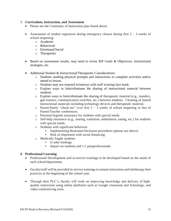#### 3. **Curriculum, Instruction, and Assessment**

- Please see the Continuity of Instruction plan found above.
- Assessment of student regression during emergency closure during first  $2 3$  weeks of school reopening:
	- o Academic
	- o Behavioral
	- o Emotional/Social
	- o Therapeutic
- Based on assessment results, may need to revise IEP Goals & Objectives, instructional strategies, etc.
- Additional Student & Instructional/Therapeutic Considerations:
	- o Students needing physical prompts and interactions to complete activities and/or attend to lesson.
	- o Students may not respond to/interact with staff wearing face mask.
	- o Explore ways to limit/eliminate the sharing of instructional material between students.
	- $\circ$  Explore ways to limit/eliminate the sharing of therapeutic material (e.g., standers, gait trainers, communication switches, etc.) between students. Cleaning of shared instructional materials including technology devices and therapeutic material.
	- o Parent/family "check-ins" over first  $2 3$  weeks of school reopening in lieu of Parent/Teacher conferences.
	- o Personal hygiene assistance for students with special needs.
	- o Self-help assistance (e.g., seating, transition, ambulation, eating, etc.) for students with special needs.
	- o Students with significant behaviors
		- **•** Implementing Restraints/Seclusion procedures (please see above)
		- Risk of elopement with social distancing
	- o Medically fragile students
		- G-tube feedings
		- **•** Impact on students and 1:1 paraprofessionals

# **4. Professional Learning**

- Professional Development and in-service trainings to be developed based on the needs of each school/department.
- Faculty/staff will be provided in-service trainings in remote instruction and teletherapy best practices at the beginning of the school year.
- Through their PLC's, faculty will work on improving knowledge and delivery of highquality instruction using online platforms such as Google classroom and Schoology, and video-conferencing tools.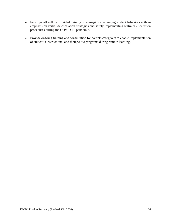- Faculty/staff will be provided training on managing challenging student behaviors with an emphasis on verbal de-escalation strategies and safely implementing restraint / seclusion procedures during the COVID-19 pandemic.
- Provide ongoing training and consultation for parents/caregivers to enable implementation of student's instructional and therapeutic programs during remote learning.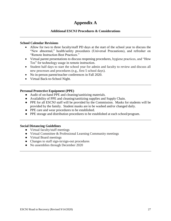# **Appendix A**

## **Additional ESCNJ Procedures & Considerations**

#### **School Calendar Revisions**

- Allow for two to three faculty/staff PD days at the start of the school year to discuss the "New abnormal," health/safety procedures (Universal Precautions), and refresher on "Remote Instruction Best Practices."
- Virtual parent presentations to discuss reopening procedures, hygiene practices, and "How Tos" for technology usage in remote instruction.
- Student half days to start the school year for admin and faculty to review and discuss all new processes and procedures (e.g., first 5 school days).
- No in-person parent/teacher conferences in Fall 2020.
- Virtual Back-to-School Night.

#### **Personal Protective Equipment (PPE)**

- **●** Audit of on-hand PPE and cleaning/sanitizing materials.
- **●** Availability of PPE and cleaning/sanitizing supplies and Supply Chain.
- **●** PPE for all ESCNJ staff will be provided by the Commission. Masks for students will be provided by the family. Student masks are to be washed and/or changed daily.
- **●** PPE care and wear procedures to be established.
- **●** PPE storage and distribution procedures to be established at each school/program.

#### **Social Distancing Guidelines**

- **●** Virtual faculty/staff meetings
- **●** Virtual Committee & Professional Learning Community meetings
- **●** Virtual Board meetings
- **●** Changes to staff sign-in/sign-out procedures
- **●** No assemblies through December 2020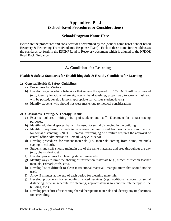# **Appendices B - J (School-based Procedures & Considerations)**

# **School/Program Name Here**

Below are the procedures and considerations determined by the (School name here) School-based Recovery & Reopening Team (Pandemic Response Team). Each of these items further addresses the standards set forth in the ESCNJ Road to Recovery document which is aligned to the NJDOE Road Back Guidance.

# **A. Conditions for Learning**

# **Health & Safety: Standards for Establishing Safe & Healthy Conditions for Learning**

# **1) General Health & Safety Guidelines**

- a) Procedures for Visitors
- b) Develop ways in which behaviors that reduce the spread of COVID-19 will be promoted (e.g., identify locations where signage on hand washing, proper way to wear a mask etc. will be posted, develop lessons appropriate for various student-levels)
- c) Identify students who should not wear masks due to medical considerations

# **2) Classrooms, Testing, & Therapy Rooms**

- a) Establish cohorts, limiting mixing of students and staff. Document for contact tracing purposes.
- b) Identify additional spaces that will be used for social distancing in the building.
- c) Identify if any furniture needs to be removed and/or moved from each classroom to allow for social distancing. (NOTE: Removal/rearranging of furniture requires the approval of central office administration – email Gary & Meena).
- d) Develop procedures for student materials (i.e., materials coming from home, materials staying in school).
- e) Students and staff should maintain use of the same materials and area throughout the day (e.g., chairs, desks, etc.).
- f) Develop procedures for cleaning student materials.
- g) Identify ways to limit the sharing of instruction materials (e.g., direct instruction teacher manuals, Edmark cards, etc.).
- h) Develop list of difficult-to-clean instructional material / manipulatives that should not be used.
- i) Allow 5 minutes at the end of each period for cleaning materials.
- j) Develop procedures for scheduling related services (e.g., additional spaces for social distancing, time in schedule for cleaning, appropriateness to continue teletherapy in the building, etc.).
- k) Develop procedures for cleaning shared therapeutic materials and identify any implications for scheduling.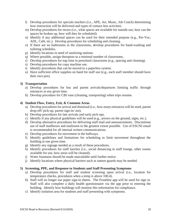- l) Develop procedures for specials teachers (i.e., APE, Art, Music, Job Coach) determining how instruction will be delivered and types of contact-less activities.
- m) Develop procedures for recess (i.e., what spaces are available for outside use, how can the spaces be broken up, how will they be scheduled).
- n) Identify if any additional spaces can be used for their intended purpose (e.g., Pre-Voc, ADL, Café, etc.). Develop procedures for scheduling and cleaning.
- o) If there are no bathrooms in the classrooms, develop procedures for hand-washing and toileting schedules.
- p) Identify locations in need of sanitizing stations.
- q) Where possible, assign therapists to a minimal number of classrooms.
- r) Develop procedures for nap time in preschool classrooms (e.g., spacing and cleaning).
- s) Develop procedures for copy machine use.
- t) Identify procedures that can be moved to a paperless system.
- u) Have sufficient office supplies on hand for staff use (e.g., each staff member should have their own pen).

#### **3) Transportation**

- a) Develop procedures for bus and parent arrivals/departures limiting traffic through entrances at any given time.
- b) Develop procedure for CBI vans (cleaning, transporting) when trips resume.

#### **4) Student Flow, Entry, Exit, & Common Areas**

- a) Develop procedures for arrival and dismissal (i.e., how many entrances will be used, parent drop-off/ pick-up, parent sign-in/ out).
- b) Develop procedures for late arrivals and early pick-ups.
- c) Identify if any physical guidelines will be used (e.g., arrows on the ground, signs, etc.).
- d) Develop alternative procedures for delivering staff mail and announcements. Discontinue use of staff mailboxes and mailroom to the greatest extent possible. Use of ESCNJ email is recommended for all internal written communications.
- e) Develop procedures for movement in the hallways.
- f) Identify guidelines and limitations for scheduling to limit movement throughout the building at one given time.
- g) Identify any signage needed as a result of these procedures.
- h) Identify procedures for staff lunches (i.e., social distancing in staff lounge, other rooms available for use, how areas will be cleaned).
- i) Water fountains should be made unavailable until further notice.
- j) Identify locations where physical barriers such as sneeze guards may be needed.

#### **5) Screening, PPE, and Response to Students and Staff Presenting Symptoms**

- a) Develop procedures for staff and student screening upon arrival (i.e., location for temperature checks, procedures when a temp is above 100.4).
- b) Staff will no longer use paper sign-in sheets. The Frontline app will be used for sign in. Staff will also complete a daily health questionnaire via the app prior to entering the building. Identify how buildings will monitor this information for compliance.
- c) Identify isolation area for students and staff presenting with symptoms.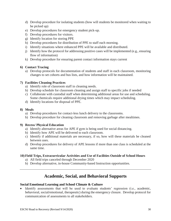- d) Develop procedure for isolating students (how will students be monitored when waiting to be picked up)
- e) Develop procedures for emergency student pick-up.
- f) Develop procedures for visitors.
- g) Identify location for storing PPE
- h) Develop procedures for distribution of PPE to staff each morning.
- i) Identify situations where enhanced PPE will be available and distributed.
- j) Identify how the protocol for addressing positive cases will be implemented (e.g., ensuring flow of information)
- k) Develop procedure for ensuring parent contact information stays current

# **6) Contact Tracing**

a) Develop protocols for documentation of students and staff in each classroom, monitoring changes to set cohorts and bus lists, and how information will be maintained.

# **7) Facilities Cleaning Practices**

- a) Identify role of classroom staff in cleaning needs.
- b) Develop schedule for classroom cleaning and assign staff to specific jobs if needed
- c) Collaborate with custodial staff when determining additional areas for use and scheduling. Some chemicals require additional drying times which may impact scheduling.
- d) Identify locations for disposal of PPE.

# **8) Meals**

- a) Develop procedures for contact-less lunch delivery to the classrooms.
- b) Develop procedure for cleaning classroom and removing garbage after mealtimes.

# **9) Recess/ Physical Education**

- a) Identify alternative areas for APE if gym is being used for social distancing.
- b) Identify how APE will be delivered to each classroom.
- c) Identify if additional materials are necessary, if so, how will these materials be cleaned between uses.
- d) Develop procedures for delivery of APE lessons if more than one class is scheduled at the same time.

# **10) Field Trips, Extracurricular Activities and Use of Facilities Outside of School Hours**

- a) All field trips canceled through December 2020
- b) Develop alternative, in-house Community-based Instruction opportunities.

# **Academic, Social, and Behavioral Supports**

# **Social Emotional Learning and School Climate & Culture**

 Identify assessments that will be used to evaluate students' regression (i.e., academic, behavioral, social/emotional, therapeutic) during the emergency closure. Develop protocol for communication of assessments to all stakeholders.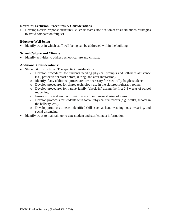#### **Restraint/ Seclusion Procedures & Considerations**

 Develop a crisis-response structure (i.e., crisis teams, notification of crisis situations, strategies to avoid compassion fatigue).

#### **Educator Well-being**

• Identify ways in which staff well-being can be addressed within the building.

#### **School Culture and Climate**

Identify activities to address school culture and climate.

#### **Additional Considerations:**

- Student & Instructional/Therapeutic Considerations
	- o Develop procedures for students needing physical prompts and self-help assistance (i.e., protocols for staff before, during, and after interaction).
	- o Identify if any additional procedures are necessary for Medically fragile students
	- o Develop procedures for shared technology use in the classroom/therapy rooms.
	- o Develop procedures for parent/ family "check-in" during the first 2-3 weeks of school reopening.
	- o Ensure sufficient amount of reinforcers to minimize sharing of items.
	- o Develop protocols for students with social/ physical reinforcers (e.g., walks, scooter in the hallway, etc.).
	- o Develop protocols to teach identified skills such as hand washing, mask wearing, and social distancing.
- Identify ways to maintain up to date student and staff contact information.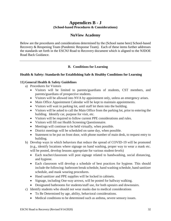# **Appendices B - J (School-based Procedures & Considerations)**

# **NuView Academy**

Below are the procedures and considerations determined by the (School name here) School-based Recovery & Reopening Team (Pandemic Response Team). Each of these items further addresses the standards set forth in the ESCNJ Road to Recovery document which is aligned to the NJDOE Road Back Guidance.

# **B. Conditions for Learning**

# **Health & Safety: Standards for Establishing Safe & Healthy Conditions for Learning**

# **11) General Health & Safety Guidelines**

- a) Procedures for Visitors
	- Visitors will be limited to parents/guardians of students, CST members, and parents/guardians of prospective students.
	- Visitors will be allowed into NVA by appointment only, unless an emergency arises.
	- Main Office Appointment Calendar will be kept to maintain appointments.
	- Visitors will wait in parking lot, until staff let them into the building.
	- Visitors will be asked to call the Main Office from the parking lot, prior to entering the building. Identify car, purpose for visit, etc.
	- Visitors will be required to follow current PPE considerations and rules.
	- Visitors will fill out Health Screening Questionnaire.
	- Meetings will continue to be held virtually, when possible.
	- District meetings will be scheduled on same day, when possible.
	- Statement to be put on front door, with phone number of main desk, to request entry to building.
- b) Develop ways in which behaviors that reduce the spread of COVID-19 will be promoted (e.g., identify locations where signage on hand washing, proper way to wear a mask etc. will be posted, develop lessons appropriate for various student-levels)
	- Each teacher/classroom will post signage related to handwashing, social distancing, and hygiene.
	- Each classroom will develop a schedule of best practices for hygiene. This should include the following: bathroom break schedule, hand washing schedule, hand sanitizer schedule, and mask wearing procedures.
	- Hand sanitizer and PPE supplies will be locked in cabinets.
	- Signage, including One-way arrows, will be posted for hallway walking.
	- Designated bathrooms for students/staff use, for both upstairs and downstairs.
- c) Identify students who should not wear masks due to medical considerations
	- To Be Determined by age, ability, behavioral considerations.
	- Medical conditions to be determined such as asthma, severe sensory issues.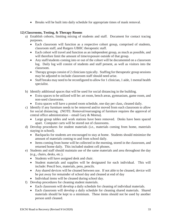Breaks will be built into daily schedule for appropriate times of mask removal.

# **12) Classrooms, Testing, & Therapy Rooms**

- a) Establish cohorts, limiting mixing of students and staff. Document for contact tracing purposes.
	- Each classroom will function as a respective cohort group, comprised of students, classroom staff, and Rutgers UBHC therapeutic staff.
	- Each cohort will travel and function as an independent group, as much as possible, and will therefore limit the amount of time/exposure outside of that group.
	- Any staff/students coming into or out of the cohort will be documented on a classroom log. Daily log will consist of students and staff present, as well as visitors into the classroom.
	- Therapy groups consist of 2 clinicians typically. Staffing for the rapeutic group sessions may be adjusted to include classroom staff should need arise.
	- Staff breaks may need to be reconfigured to allow for 1 clinician, 1 aide, 1 mental health specialist.
- b) Identify additional spaces that will be used for social distancing in the building.
	- Extra spaces to be utilized will be: art room, bench areas, gymnasium, game room, and non-used classrooms.
	- Extra spaces will have a posted room schedule, one day per class, cleaned daily.
- c) Identify if any furniture needs to be removed and/or moved from each classroom to allow for social distancing. (NOTE: Removal/rearranging of furniture requires the approval of central office administration – email Gary & Meena).
	- Large group tables and work stations have been removed. Desks have been spaced apart. Computer carts will be stored out of classrooms.
- d) Develop procedures for student materials (i.e., materials coming from home, materials staying in school).
	- Backpacks for students are encouraged to stay at home. Students should minimize the amount of materials coming to and from school daily.
	- Items coming from home will be collected in the morning, stored in the classroom, and returned home daily. This included student cell phones.
- e) Students and staff should maintain use of the same materials and area throughout the day (e.g., chairs, desks, etc.).
	- Students will have assigned desk and chair.
	- Student materials and supplies will be designated for each individual. This will include: Pencil box, materials, pens, pencils.
	- Any shared devices will be cleaned between use. If not able to be cleaned, device will be put away for remainder of school day and cleaned at end of day
	- Individual items will be cleaned during school day.
- f) Develop procedures for cleaning student materials.
	- Each classroom will develop a daily schedule for cleaning of individual materials.
	- Each classroom will develop a daily schedule for cleaning shared materials. Shared materials should be kept to a minimum. These items should not be used by another person until cleaned.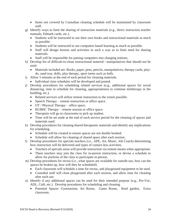- Items not covered by Custodian cleaning schedule will be maintained by classroom staff.
- g) Identify ways to limit the sharing of instruction materials (e.g., direct instruction teacher manuals, Edmark cards, etc.).
	- Students will be instructed to use their own books and instructional materials as much as possible.
	- Students will be instructed to use computers based learning as much as possible.
	- Staff will design lessons and activities in such a way as to limit need for sharing materials.
	- Staff will be responsible for putting computers into charging stations.
- h) Develop list of difficult-to-clean instructional material / manipulatives that should not be used.
	- Materials included are: Books, paper, pens, pencils, manipulatives, therapy cards, playdo, sand tray, dolls, play therapy, sport items such as balls.
- i) Allow 5 minutes at the end of each period for cleaning materials.
	- Individual class schedules will be developed and posted.
- j) Develop procedures for scheduling related services (e.g., additional spaces for social distancing, time in schedule for cleaning, appropriateness to continue teletherapy in the building, etc.).
	- Related services will utilize remote instruction to the extent possible.
	- Speech Therapy remote instruction or office space.
	- OT / Physical Therapy office space.
	- RUBHC Therapy remote session or office space.
	- Therapists will go to classrooms to pick up student.
	- Time will be set aside at the end of each service period for the cleaning of spaces and materials used.
- k) Develop procedures for cleaning shared therapeutic materials and identify any implications for scheduling.
	- Schedule will be created to ensure spaces are not double booked.
	- Schedule will allow for cleaning of shared space after each session.
- l) Develop procedures for specials teachers (i.e., APE, Art, Music, Job Coach) determining how instruction will be delivered and types of contact-less activities.
	- Teachers of specials areas will provide instruction via remote means when appropriate.
	- These teachers may join the class for in-person instruction, or devise a schedule to allow for portions of the class to participate in-person.
- m) Develop procedures for recess (i.e., what spaces are available for outside use, how can the spaces be broken up, how will they be scheduled).
	- Each classroom will schedule a time for recess, and playground equipment to be used.
	- Custodial staff will close playground after each session, and allow time for cleaning after each use.
- n) Identify if any additional spaces can be used for their intended purpose (e.g., Pre-Voc, ADL, Café, etc.). Develop procedures for scheduling and cleaning.
	- Potential Spaces: Gymnasium, Art Room, Game Room, Roof garden, Extra classroom.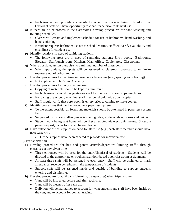- Each teacher will provide a schedule for when the space is being utilized so that Custodial Staff will have opportunity to clean space prior to its next use.
- o) If there are no bathrooms in the classrooms, develop procedures for hand-washing and toileting schedules.
	- Classes will create and implement schedule for use of bathrooms, hand-washing, and hand sanitizing.
	- If student requests bathroom use not at scheduled time, staff will verify availability and cleanliness for student use.
- p) Identify locations in need of sanitizing stations.
	- The following areas are in need of sanitizing stations: Entry doors. Bathrooms. Elevator. Staff lunch room. Kitchen. Main office. Copier area. Classrooms.
- q) Where possible, assign therapists to a minimal number of classrooms.
	- When appropriate, therapists will be assigned to classroom caseload to minimize exposure out of cohort model.
- r) Develop procedures for nap time in preschool classrooms (e.g., spacing and cleaning).
	- Not applicable to NuView Academy.
- s) Develop procedures for copy machine use.
	- Copying of materials should be kept to a minimum.
	- Each classroom should designate one staff for the use of shared copy machines.
	- Following use of copy machine, staff member should wipe down copier.
	- Staff should verify that copy room is empty prior to coming to make copies.
- t) Identify procedures that can be moved to a paperless system.
	- To the extent possible, all forms and materials should be attempted in paperless system first.
	- Suggested forms are: staffing materials and guides, student-related forms and guides.
	- Student work being sent home will be first attempted via electronic means. Should a parent request, paper forms can be sent home.
- u) Have sufficient office supplies on hand for staff use (e.g., each staff member should have their own pen).
	- Office supplies have been ordered to provide for individual use.

#### **13) Transportation**

- a) Develop procedures for bus and parent arrivals/departures limiting traffic through entrances at any given time.
	- Three entrances will be used for the entry/dismissal of students. Students will be directed to the appropriate entry/dismissal door based upon classroom assignment.
	- At least three staff will be assigned to each entry. Staff will be assigned to mark attendance, receive cell phones, take temperature of students.
	- Support staff will be assigned inside and outside of building to support students entering and dismissing.
- b) Develop procedure for CBI vans (cleaning, transporting) when trips resume.
	- Vans will be inspected before and after each trip.
	- Vans will be cleaned after each use.
	- Daily log will be maintained to account for what students and staff have been inside of the van, and to account for contact tracing.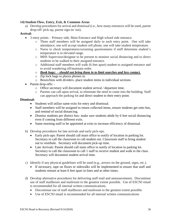## **14) Student Flow, Entry, Exit, & Common Areas**

a) Develop procedures for arrival and dismissal (i.e., how many entrances will be used, parent drop-off/ pick-up, parent sign-in/ out).

## **Arrival:**

- 3 entry points Primary side, Main Entrance and High school side entrance.
	- o Three staff members will be assigned daily to each entry point. One will take attendance, one will accept student cell phone, one will take student temperature.
	- o Nurse to check temperatures/screening questionnaire if staff determine student's temperature is in elevated range.
	- o MHS Supervisor/designee to be present to monitor social distancing and to direct students to be walked to their assigned entrance.
	- o Additional staff members will walk (6 feet apart) student to assigned entrance and to avoid wandering off/maintain order.
	- o *Book bags: - should not bring them in to limit searches and less contact.*
	- o Zip lock bags to places phones in.
	- o Boxes/bins with dividers- place student items in individual sections
- Parent drop-offs:
	- o Office secretary will document student arrival / departure time.
	- o Parents can call upon arrival, to eliminate the need to come into the building. Staff can approach the parking lot and direct student to their entry point.

#### **Dismissal:**

- Students will utilize same exits for entry and dismissal.
- Staff members will be assigned to return collected items, ensure students get onto bus, and remind of social distancing.
- Dismiss students per district bus- make sure students abide by 6 feet social distancing even if coming from different exits.
- Same morning staff to be appointed at exits to increase efficiency of dismissal.
- b) Develop procedures for late arrivals and early pick-ups.
	- Early pick-ups: Parent should call main office to notify of location in parking lot. Secretary to call the classroom to call student out. Classroom staff to bring student out to vestibule. Secretary will document pick-up time.
	- Late Arrivals: Parent should call main office to notify of location in parking lot. Secretary to call the classroom to call 1 staff to receive student and walk to the class. Secretary will document student arrival time.
- c) Identify if any physical guidelines will be used (e.g., arrows on the ground, signs, etc.).
	- If necessary, tape on floors or sidewalks will be implemented to ensure that staff and students remain at least 6 feet apart in lines and at other times.
- d) Develop alternative procedures for delivering staff mail and announcements. Discontinue use of staff mailboxes and mailroom to the greatest extent possible. Use of ESCNJ email is recommended for all internal written communications.
	- Discontinue use of staff mailboxes and mailroom to the greatest extent possible.
	- Use of ESCNJ email is recommended for all internal written communications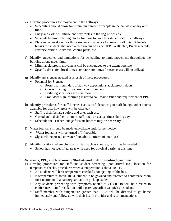- e) Develop procedures for movement in the hallways.
	- Scheduling should allow for minimum number of people in the hallways at any one time.
	- Entry and exits will utilize one way routes to the degree possible.
	- Schedule bathroom timing blocks for class to have less students/staff in hallways.
	- Plans to be developed for those students in advance to prevent walkouts. Schedule breaks for students that need a break/required as per IEP: Walk plan, Break schedule, Exercise routine, Individual coping plans, etc.
- f) Identify guidelines and limitations for scheduling to limit movement throughout the building at one given time.
	- Minimal classroom movement will be encouraged to the extent possible.
	- Specific times for "break times" or bathroom times for each class will be utilized.
- g) Identify any signage needed as a result of these procedures.
	- Potential for Signage  $$ 
		- o Posters for reminders of hallway expectations at classroom doors –
		- o Contact tracing form at each classroom door
		- o Daily log sheet for each classroom
		- o Front door sign informing visitor to call Main Office and requirement of PPE
- h) Identify procedures for staff lunches (i.e., social distancing in staff lounge, other rooms available for use, how areas will be cleaned).
	- Staff to disinfect area before and after each use.
	- Custodian to disinfect common staff lunch area at set times during day.
	- Schedule for Teacher lounge for staff lunches may be necessary.
- i) Water fountains should be made unavailable until further notice.
	- Water fountains will be turned off if possible.
	- Signs will be posted on water fountains to inform of "non-use".
- j) Identify locations where physical barriers such as sneeze guards may be needed.
	- School has not identified areas with need for physical barrier at this time.

#### **15) Screening, PPE, and Response to Students and Staff Presenting Symptoms**

- a) Develop procedures for staff and student screening upon arrival (i.e., location for temperature checks, procedures when a temperature is above 100.4).
	- All students will have temperature checked upon getting off the bus.
	- If temperature is above 100.4, student to be gowned and directed to conference room for isolation until a parent/guardian can pick up student.
	- Any students presenting with symptoms related to COVID-19 will be directed to conference room for isolation until a parent/guardian can pick up student.
	- Staff member with temperature greater than 100.4 will be directed to go home immediately and follow up with their health provider and recommendations.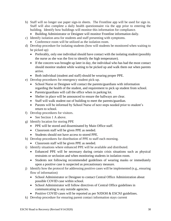- b) Staff will no longer use paper sign-in sheets. The Frontline app will be used for sign in. Staff will also complete a daily health questionnaire via the app prior to entering the building. Identify how buildings will monitor this information for compliance.
	- Building Administrator or Designee will monitor Frontline information daily.
- c) Identify isolation area for students and staff presenting with symptoms.
	- Conference room will be utilized as the isolation room.
- d) Develop procedure for isolating students (how will students be monitored when waiting to be picked up)
	- Preferably, only one individual should have contact with the isolating student (possibly the nurse as she was the first to identify the high temperature).
	- If the concern was brought up later in day, the individual who has had the most contact should monitor student while waiting to be picked up and walk them out when parents arrive.
	- Both individual (student and staff) should be wearing proper PPE.
- e) Develop procedures for emergency student pick-up.
	- School Nurse or Designee will contact the parents/guardians with information regarding the health of the student, and requirement to pick up student from school.
	- Parents/guardians will call the office when in parking lot.
	- Shelter in place will be announced to ensure the hallways are clear.
	- Staff will walk student out of building to meet the parents/guardian.
	- Parents will be informed by School Nurse of next steps needed prior to student's return to school.
- f) Develop procedures for visitors.
	- See Section 1 A above.
- g) Identify location for storing PPE
	- PPE will be stored and disseminated by Main Office staff.
	- Classroom staff will be given PPE as needed.
	- Students should not have access to stored PPE.
- h) Develop procedures for distribution of PPE to staff each morning.
	- Classroom staff will be given PPE as needed.
- i) Identify situations where enhanced PPE will be available and distributed.
	- Enhanced PPE will be necessary during certain crisis situations such as physical restraints or seclusion and when monitoring students in isolation room.
	- Students not following recommended guidelines of wearing masks or immediately upon a positive case is suspected as precautionary measure.
- j) Identify how the protocol for addressing positive cases will be implemented (e.g., ensuring flow of information)
	- School Administrator or Designee to contact Central Office Administration about possible COVID case within school.
	- School Administrator will follow directives of Central Office guidelines in communicating to any outside agencies.
	- Positive COVID cases will be reported as per NJDOH & ESCNJ guidelines.
- k) Develop procedure for ensuring parent contact information stays current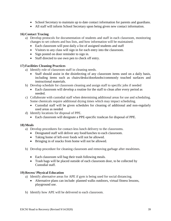- School Secretary to maintain up to date contact information for parents and guardians.
- All staff will inform School Secretary upon being given new contact information.

# **16) Contact Tracing**

- a) Develop protocols for documentation of students and staff in each classroom, monitoring changes to set cohorts and bus lists, and how information will be maintained.
	- Each classroom will post daily a list of assigned students and staff
	- Visitors to any class will sign in for each entry into the classroom.
	- Sign posted on door reminder to sign in.
	- Staff directed to use own pen to check off entry.

# **17) Facilities Cleaning Practices**

- a) Identify role of classroom staff in cleaning needs.
	- Staff should assist in the disinfecting of any classroom items used on a daily basis, including items such as chairs/desks/doorknobs/commonly touched surfaces and instructional materials.
- b) Develop schedule for classroom cleaning and assign staff to specific jobs if needed
	- Each classroom will develop a routine for the staff to clean after every period as needed.
- c) Collaborate with custodial staff when determining additional areas for use and scheduling. Some chemicals require additional drying times which may impact scheduling.
	- Custodial staff will be given schedules for cleaning of additional and non-regularly used areas as needed
- d) Identify locations for disposal of PPE.
	- Each classroom will designate a PPE-specific trashcan for disposal of PPE.

# **18) Meals**

- a) Develop procedures for contact-less lunch delivery to the classrooms.
	- Designated staff will deliver any food/lunches to each classroom.
	- Taking home of left-over foods will not be allowed.
	- Bringing in of snacks from home will not be allowed.
- b) Develop procedure for cleaning classroom and removing garbage after mealtimes.
	- Each classroom will bag their trash following meals.
	- Trash bags will be placed outside of each classroom door, to be collected by Custodial staff.

# **19) Recess/ Physical Education**

- a) Identify alternative areas for APE if gym is being used for social distancing.
	- Alternative plans can include: planned walks outdoors, virtual fitness lessons, playground use.
- b) Identify how APE will be delivered to each classroom.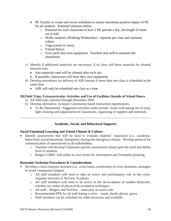- PE Teacher to create and revise schedules to ensure maximum positive impact of PE for all students. Potential solutions below:
	- o Potential for each classroom to have 2 PE periods a day, but length of times cut in half
	- o Walks outdoors (Walking Wednesday) separate per class and maintain cohort.
	- o Yoga (zoom in class).
	- o Virtual fitness.
	- o Give each class own equipment. Teachers and staff to maintain the cleanliness.
- c) Identify if additional materials are necessary, if so, how will these materials be cleaned between uses.
	- Any materials used will be cleaned after each use.
	- If possible, classrooms will have their own equipment.
- d) Develop procedures for delivery of APE lessons if more than one class is scheduled at the same time.
	- APE will only be scheduled one class at a time.

# **20) Field Trips, Extracurricular Activities and Use of Facilities Outside of School Hours**

- a) All field trips canceled through December 2020
- b) Develop alternative, in-house Community-based Instruction opportunities.
	- To Be Determined. Suggested activities could include: Assist with taking out of trash, light cleaning and organization of classrooms, organizing of supplies and materials.

# **Academic, Social, and Behavioral Supports**

# **Social Emotional Learning and School Climate & Culture**

- Identify assessments that will be used to evaluate students' regression (i.e., academic, behavioral, social/emotional, therapeutic) during the emergency closure. Develop protocol for communication of assessments to all stakeholders.
	- o Teachers will develop Classroom specific assessments based upon the need and ability level of students.
	- o Rutgers UBHC will utilize its own forms for Assessment and Treatment planning.

# **Restraint/ Seclusion Procedures & Considerations**

- Develop a crisis-response structure (i.e., crisis teams, notification of crisis situations, strategies to avoid compassion fatigue).
	- o All staff members will need to take an active and participatory role in the crisisresponse structure of NuView Academy.
	- o All staff members will need to be active in the de-escalation of student behaviors, whether via verbal of physical de-escalation techniques.
	- o All staff Rutgers and NuView must play an active role.
	- o Recommended PPE for all staff during a crisis mask, shield, gloves, gown
	- o Staff members can be switched out when necessary and available.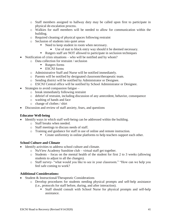- o Staff members assigned to hallway duty may be called upon first to participate in physical de-escalation process.
- o Walkies for staff members will be needed to allow for communication within the building.
- o Required cleaning of physical spaces following restraint
- o Seclusion of students into quiet areas
	- Need to keep student in room when necessary.
		- Use of mat to block entry way should it be deemed necessary.
	- Rutgers staff are NOT allowed to participate in seclusion techniques
- Notification of crisis situations who will be notified and by whom?
	- o Data collection for restraint / seclusion
		- Rutgers forms
		- **ESCNJ** forms
	- o Administrative Staff and Nurse will be notified immediately.
	- o Parents will be notified by designated classroom/therapeutic team.
	- o Sending district will be notified by Administrator or Designee.
	- o ESCNJ Central office will be notified by School Administrator or Designee.
- Strategies to avoid compassion fatigue  $$ 
	- o break immediately following restraint
	- o debrief of restraint, including discussion of any antecedent, behavior, consequence
	- o washing of hands and face
	- o change of clothes / shirt
- Discussion and review of staff anxiety, fears, and questions

#### **Educator Well-being**

- Identify ways in which staff well-being can be addressed within the building.
	- o Staff breaks when needed.
	- o Staff meetings to discuss needs of staff.
	- o Training and guidance for staff in use of online and remote instruction.
		- Create uniformity in online platforms to help teachers support each other.

#### **School Culture and Climate**

- Identify activities to address school culture and climate.
	- o NuView Academy Sunshine club virtual staff get together.
		- o Students focus on the mental health of the student for first 2 to 3 weeks (allowing students to adjust to all the changes).
		- o Staff survey- "what would you like to see in your classroom." "How can we help you feel safe coming to work?

# **Additional Considerations:**

- Student & Instructional/Therapeutic Considerations
	- o Develop procedures for students needing physical prompts and self-help assistance (i.e., protocols for staff before, during, and after interaction).
		- Staff should consult with School Nurse for physical prompts and self-help assistance.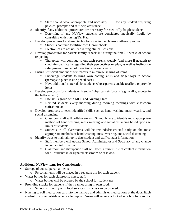- Staff should wear appropriate and necessary PPE for any student requiring physical prompts and self-help assistance.
- o Identify if any additional procedures are necessary for Medically fragile students.
	- Determine if any NuView students are considered medically fragile by consulting with nursing/Dr. Kaur.
- o Develop procedures for shared technology use in the classroom/therapy rooms.
	- Students continue to utilize own Chromebook.
	- Electronics are not utilized during clinical sessions.
- o Develop procedures for parent/ family "check-in" during the first 2-3 weeks of school reopening.
	- **Therapists will continue to outreach parents weekly (and more if needed) to** check-in specifically regarding their perspectives on plan, as well as feelings on safety/overall impact of transitions on well-being.
- o Ensure sufficient amount of reinforcers to minimize sharing of items.
	- Encourage students to bring own coping skills and fidget toys to school (perhaps to place inside pencil case).
	- Have additional materials for students whose parents unable to afford or provide items.
- o Develop protocols for students with social/ physical reinforcers (e.g., walks, scooter in the hallway, etc.).
	- Life skills group with MHS and Nursing Staff.
	- Remind students every morning during morning meetings with classroom staff/clinician.
- o Develop protocols to teach identified skills such as hand washing, mask wearing, and social distancing.
	- Classroom staff will collaborate with School Nurse to identify most appropriate methods of hand washing, mask wearing, and social distancing based upon age limits of students.
	- Students in all classrooms will be reminded/instructed daily on the most appropriate methods of hand washing, mask wearing, and social distancing.
- o Identify ways to maintain up to date student and staff contact information.
	- Staff members will update School Administrator and Secretary of any change in contact information.
	- Classroom and therapeutic staff will keep a current list of contact information for all students in designated classroom or caseload.

#### **Additional NuView items for Consideration:**

- Storage of coats / personal items.
	- o Personal items will be placed in a separate bin for each student.
- Water bottles for each classroom, nurse, staff.
	- o Water bottles will be ordered by the school for student use.
- Providing snacks for students if they cannot bring in own food.
	- o School will verify with food services if snacks can be ordered.
- Nursing to roll medication cart into the hallway and administer medications at the door. Each student to come outside when called upon. Nurse will require a locked safe box for narcotic